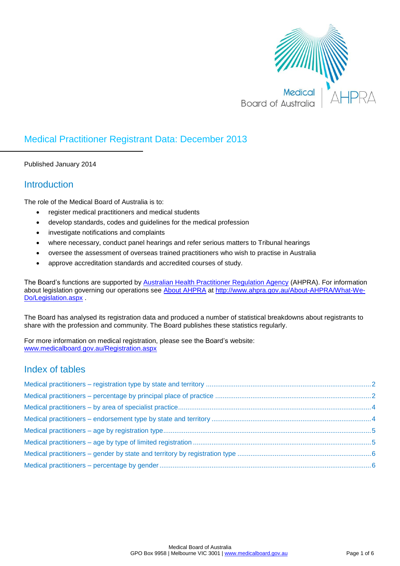

## Medical Practitioner Registrant Data: December 2013

Published January 2014

## **Introduction**

The role of the Medical Board of Australia is to:

- register medical practitioners and medical students
- develop standards, codes and guidelines for the medical profession
- investigate notifications and complaints
- where necessary, conduct panel hearings and refer serious matters to Tribunal hearings
- oversee the assessment of overseas trained practitioners who wish to practise in Australia
- approve accreditation standards and accredited courses of study.

The Board's functions are supported by [Australian Health Practitioner Regulation Agency](http://www.ahpra.gov.au/) (AHPRA). For information about legislation governing our operations see [About AHPRA](http://www.ahpra.gov.au/About-AHPRA/What-We-Do/Legislation.aspx) at [http://www.ahpra.gov.au/About-AHPRA/What-We-](http://www.ahpra.gov.au/About-AHPRA/What-We-Do/Legislation.aspx)[Do/Legislation.aspx](http://www.ahpra.gov.au/About-AHPRA/What-We-Do/Legislation.aspx) .

The Board has analysed its registration data and produced a number of statistical breakdowns about registrants to share with the profession and community. The Board publishes these statistics regularly.

For more information on medical registration, please see the Board's website: [www.medicalboard.gov.au/Registration.aspx](http://www.medicalboard.gov.au/Registration.aspx)

## Index of tables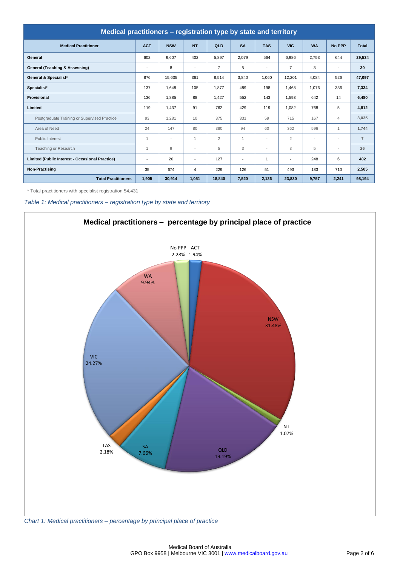| Medical practitioners - registration type by state and territory |                          |                |                          |                |                |                          |                          |                          |                          |                |  |  |
|------------------------------------------------------------------|--------------------------|----------------|--------------------------|----------------|----------------|--------------------------|--------------------------|--------------------------|--------------------------|----------------|--|--|
| <b>Medical Practitioner</b>                                      | <b>ACT</b>               | <b>NSW</b>     | <b>NT</b>                | QLD            | <b>SA</b>      | <b>TAS</b>               | <b>VIC</b>               | <b>WA</b>                | <b>No PPP</b>            | <b>Total</b>   |  |  |
| General                                                          | 602                      | 9,607          | 402                      | 5,897          | 2,079          | 564                      | 6,986                    | 2,753                    | 644                      | 29,534         |  |  |
| General (Teaching & Assessing)                                   | $\overline{\phantom{a}}$ | 8              | $\overline{\phantom{a}}$ | $\overline{7}$ | 5              | ٠                        | $\overline{7}$           | 3                        | $\overline{\phantom{a}}$ | 30             |  |  |
| <b>General &amp; Specialist*</b>                                 | 876                      | 15,635         | 361                      | 8,514          | 3.840          | 1.060                    | 12,201                   | 4.084                    | 526                      | 47,097         |  |  |
| Specialist*                                                      | 137                      | 1,648          | 105                      | 1,877          | 489            | 198                      | 1,468                    | 1.076                    | 336                      | 7,334          |  |  |
| <b>Provisional</b>                                               | 136                      | 1,885          | 88                       | 1.427          | 552            | 143                      | 1,593                    | 642                      | 14                       | 6,480          |  |  |
| Limited                                                          | 119                      | 1.437          | 91                       | 762            | 429            | 119                      | 1.082                    | 768                      | 5                        | 4,812          |  |  |
| Postgraduate Training or Supervised Practice                     | 93                       | 1.281          | 10                       | 375            | 331            | 59                       | 715                      | 167                      | $\overline{4}$           | 3,035          |  |  |
| Area of Need                                                     | 24                       | 147            | 80                       | 380            | 94             | 60                       | 362                      | 596                      | 1                        | 1,744          |  |  |
| <b>Public Interest</b>                                           | $\mathbf{1}$             | $\sim$         | $\mathbf{1}$             | $\overline{2}$ | 1              | ٠                        | $\overline{2}$           | $\overline{\phantom{a}}$ | $\overline{\phantom{a}}$ | $\overline{7}$ |  |  |
| Teaching or Research                                             | $\mathbf{1}$             | $\overline{9}$ | $\overline{\phantom{a}}$ | 5              | 3              | $\overline{\phantom{a}}$ | 3                        | 5                        | $\overline{\phantom{a}}$ | 26             |  |  |
| Limited (Public Interest - Occasional Practice)                  | $\overline{\phantom{a}}$ | 20             | $\overline{\phantom{a}}$ | 127            | $\blacksquare$ | 1                        | $\overline{\phantom{a}}$ | 248                      | 6                        | 402            |  |  |
| <b>Non-Practising</b>                                            | 35                       | 674            | $\overline{4}$           | 229            | 126            | 51                       | 493                      | 183                      | 710                      | 2,505          |  |  |
| <b>Total Practitioners</b>                                       | 1,905                    | 30,914         | 1.051                    | 18,840         | 7,520          | 2,136                    | 23,830                   | 9,757                    | 2,241                    | 98,194         |  |  |

\* Total practitioners with specialist registration 54,431

<span id="page-1-0"></span>*Table 1: Medical practitioners – registration type by state and territory*



<span id="page-1-1"></span>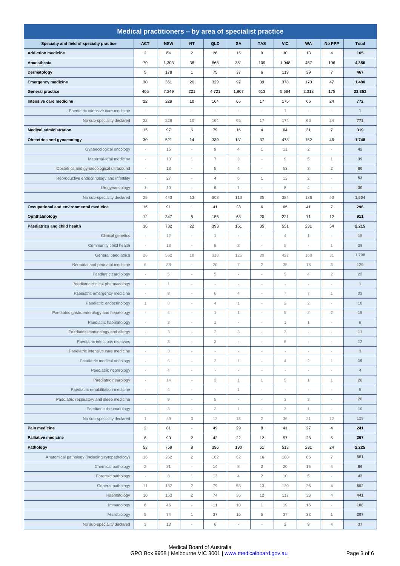| Medical practitioners - by area of specialist practice |                           |                        |                          |                           |                           |                          |                          |                           |                          |                           |  |
|--------------------------------------------------------|---------------------------|------------------------|--------------------------|---------------------------|---------------------------|--------------------------|--------------------------|---------------------------|--------------------------|---------------------------|--|
| Specialty and field of specialty practice              | <b>ACT</b>                | <b>NSW</b>             | <b>NT</b>                | QLD                       | <b>SA</b>                 | <b>TAS</b>               | <b>VIC</b>               | <b>WA</b>                 | No PPP                   | <b>Total</b>              |  |
| <b>Addiction medicine</b>                              | $\overline{2}$            | 64                     | $\overline{2}$           | 26                        | 15                        | 9                        | 30                       | 13                        | $\overline{4}$           | 165                       |  |
| Anaesthesia                                            | 70                        | 1,303                  | 38                       | 868                       | 351                       | 109                      | 1,048                    | 457                       | 106                      | 4,350                     |  |
| Dermatology                                            | 5                         | 178                    | $\mathbf{1}$             | 75                        | 37                        | 6                        | 119                      | 39                        | $\overline{7}$           | 467                       |  |
| <b>Emergency medicine</b>                              | 30                        | 361                    | 26                       | 329                       | 97                        | 39                       | 378                      | 173                       | 47                       | 1,480                     |  |
| <b>General practice</b>                                | 405                       | 7,349                  | 221                      | 4,721                     | 1,867                     | 613                      | 5,584                    | 2,318                     | 175                      | 23,253                    |  |
| Intensive care medicine                                | 22                        | 229                    | 10                       | 164                       | 65                        | 17                       | 175                      | 66                        | 24                       | 772                       |  |
| Paediatric intensive care medicine                     |                           |                        |                          |                           | $\overline{a}$            |                          | $\mathbf{1}$             | ÷                         | ÷,                       | $\mathbf{1}$              |  |
| No sub-speciality declared                             | 22                        | 229                    | 10                       | 164                       | 65                        | 17                       | 174                      | 66                        | 24                       | 771                       |  |
| <b>Medical administration</b>                          | 15                        | 97                     | 6                        | 79                        | 16                        | 4                        | 64                       | 31                        | $\overline{7}$           | 319                       |  |
| <b>Obstetrics and gynaecology</b>                      | 30                        | 521                    | 14                       | 339                       | 131                       | 37                       | 478                      | 152                       | 46                       | 1,748                     |  |
| Gynaecological oncology                                |                           | 15                     |                          | 9                         | $\overline{4}$            | $\mathbf{1}$             | 11                       | $\overline{c}$            |                          | 42                        |  |
| Maternal-fetal medicine                                | ÷,                        | 13                     | $\mathbf{1}$             | $\overline{7}$            | 3                         | i,                       | $\mathsf g$              | 5                         | $\mathbf{1}$             | 39                        |  |
| Obstetrics and gynaecological ultrasound               | ÷,                        | 13                     |                          | 5                         | $\overline{4}$            | $\overline{\phantom{a}}$ | 53                       | 3                         | $\sqrt{2}$               | 80                        |  |
| Reproductive endocrinology and infertility             | ÷                         | 27                     | $\overline{\phantom{a}}$ | 4                         | 6                         | $\mathbf{1}$             | 13                       | $\overline{2}$            | ÷                        | 53                        |  |
| Urogynaecology                                         | $\mathbf{1}$              | 10                     | $\sim$                   | 6                         | $\mathbf{1}$              | $\sim$                   | 8                        | $\overline{4}$            | $\overline{a}$           | 30                        |  |
| No sub-speciality declared                             | 29                        | 443                    | 13                       | 308                       | 113                       | 35                       | 384                      | 136                       | 43                       | 1,504                     |  |
| Occupational and environmental medicine                | 16                        | 91                     | $\mathbf{1}$             | 41                        | 28                        | 6                        | 65                       | 41                        | $\overline{7}$           | 296                       |  |
| Ophthalmology                                          | 12                        | 347                    | 5                        | 155                       | 68                        | 20                       | 221                      | 71                        | 12                       | 911                       |  |
| Paediatrics and child health                           | 36                        | 732                    | 22                       | 393                       | 161                       | 35                       | 551                      | 231                       | 54                       | 2,215                     |  |
| Clinical genetics                                      | ÷,                        | 12                     | $\overline{\phantom{a}}$ | $\mathbf{1}$              | $\overline{a}$            | $\overline{\phantom{a}}$ | $\sqrt{4}$               | $\mathbf{1}$              | $\overline{\phantom{a}}$ | 18                        |  |
| Community child health                                 |                           | 13                     |                          | 8                         | $\overline{2}$            |                          | 5                        |                           | $\mathbf 1$              | 29                        |  |
| General paediatrics                                    | 28                        | 562                    | 18                       | 318                       | 126                       | 30                       | 427                      | 168                       | 31                       | 1,708                     |  |
| Neonatal and perinatal medicine                        | 6                         | 38                     | $\sim$                   | 20                        | $\overline{7}$            | $\overline{2}$           | 35                       | 18                        | 3                        | 129                       |  |
| Paediatric cardiology                                  |                           | $\,$ 5                 |                          | 5                         | i,                        | i,                       | 5                        | $\overline{4}$            | $\sqrt{2}$               | 22                        |  |
| Paediatric clinical pharmacology                       | ÷                         | $\mathbf{1}$           |                          | Ĭ.                        | ÷,                        | i,                       | $\sim$                   | ÷                         | ÷                        | $\mathbf{1}$              |  |
| Paediatric emergency medicine                          | $\overline{a}$            | 8                      |                          | 6                         | $\overline{4}$            | i,                       | 7                        | 7                         | $\mathbf{1}$             | 33                        |  |
| Paediatric endocrinology                               | $\mathbf{1}$              | 8                      | $\overline{\phantom{a}}$ | 4                         | $\mathbf{1}$              | $\overline{\phantom{a}}$ | $\overline{2}$           | $\overline{2}$            | ÷                        | 18                        |  |
| Paediatric gastroenterology and hepatology             | $\overline{a}$            | $\sqrt{4}$             | $\sim$                   | $\mathbf{1}$              | $\mathbf{1}$              | $\overline{\phantom{a}}$ | 5                        | $\overline{c}$            | $\overline{2}$           | 15                        |  |
| Paediatric haematology                                 | i,                        | 3                      |                          | $\mathbf{1}$              | i,                        | i,                       | $\mathbf{1}$             | $\mathbf{1}$              | ÷                        | $\,$ 6 $\,$               |  |
| Paediatric immunology and allergy                      | $\overline{a}$            | 3                      |                          | $\overline{2}$            | $\ensuremath{\mathsf{3}}$ | ÷,                       | 3                        | ÷                         | ÷                        | 11                        |  |
| Paediatric infectious diseases                         | ÷,                        | 3                      | $\sim$                   | 3                         | ÷                         | $\overline{\phantom{a}}$ | 6                        | $\overline{\phantom{a}}$  | ÷                        | 12                        |  |
| Paediatric intensive care medicine                     | $\overline{\phantom{m}}$  | 3                      | $\overline{\phantom{a}}$ | $\overline{\phantom{a}}$  | $\overline{\phantom{m}}$  | $\overline{\phantom{a}}$ | $\overline{\phantom{a}}$ | $\overline{\phantom{a}}$  | $\frac{1}{2}$            | $_{3}$                    |  |
| Paediatric medical oncology                            | $\overline{a}$            | 6                      | $\sim$                   | $\sqrt{2}$                | $\mathbf{1}$              | $\overline{\phantom{a}}$ | $\overline{4}$           | $\overline{2}$            | $\mathbf 1$              | $16$                      |  |
| Paediatric nephrology                                  |                           | $\sqrt{4}$             |                          |                           |                           |                          |                          |                           |                          | $\ensuremath{\mathsf{4}}$ |  |
| Paediatric neurology                                   | $\overline{a}$            | 14                     | $\sim$                   | $\ensuremath{\mathsf{3}}$ | $\mathbf{1}$              | $\mathbf{1}$             | $\,$ 5                   | $\mathbf{1}$              | $\mathbf 1$              | 26                        |  |
| Paediatric rehabilitation medicine                     | ÷,                        | $\overline{4}$         | $\sim$                   | ÷,                        | $\mathbf{1}$              | $\overline{\phantom{a}}$ | $\overline{a}$           | $\overline{\phantom{a}}$  | ÷,                       | $\,$ 5 $\,$               |  |
| Paediatric respiratory and sleep medicine              |                           | $\mathrel{\mathsf{g}}$ |                          | $\,$ 5 $\,$               | $\overline{a}$            | ÷,                       | 3                        | $\ensuremath{\mathsf{3}}$ | ÷                        | 20                        |  |
| Paediatric rheumatology                                | ÷                         | 3                      |                          | $\sqrt{2}$                | $\mathbf{1}$              | ÷,                       | 3                        | $\mathbf{1}$              | ÷                        | $10$                      |  |
| No sub-speciality declared                             | $\mathbf{1}$              | 29                     | 3                        | 12                        | 13                        | $\overline{2}$           | 36                       | 21                        | 12                       | 129                       |  |
| Pain medicine                                          | $\sqrt{2}$                | 81                     | $\overline{\phantom{a}}$ | 49                        | 29                        | 8                        | 41                       | 27                        | $\sqrt{4}$               | 241                       |  |
| <b>Palliative medicine</b>                             | $\,6\,$                   | 93                     | $\overline{\mathbf{c}}$  | 42                        | 22                        | 12                       | 57                       | 28                        | 5                        | 267                       |  |
| Pathology                                              | 53                        | 759                    | 8                        | 396                       | 190                       | 51                       | 513                      | 231                       | 24                       | 2,225                     |  |
| Anatomical pathology (including cytopathology)         | 16                        | 262                    | $\sqrt{2}$               | 162                       | 62                        | 16                       | 188                      | 86                        | $\overline{7}$           | 801                       |  |
| Chemical pathology                                     | $\sqrt{2}$                | 21                     | $\overline{\phantom{a}}$ | 14                        | $\,$ 8 $\,$               | $\overline{c}$           | 20                       | 15                        | $\overline{4}$           | 86                        |  |
| Forensic pathology                                     | $\overline{a}$            | 8                      | $\mathbf{1}$             | 13                        | $\overline{4}$            | $\overline{c}$           | 10                       | 5                         | $\overline{a}$           | 43                        |  |
| General pathology                                      | 11                        | 182                    | $\sqrt{2}$               | 79                        | 55                        | 13                       | 120                      | 36                        | $\overline{4}$           | 502                       |  |
| Haematology                                            | 10                        | 153                    | $\sqrt{2}$               | 74                        | 36                        | 12                       | 117                      | 33                        | $\overline{4}$           | 441                       |  |
| Immunology                                             | $\,6\,$                   | 46                     | $\overline{\phantom{a}}$ | 11                        | 10                        | $\mathbf{1}$             | 19                       | 15                        | $\overline{\phantom{a}}$ | 108                       |  |
| Microbiology                                           | $\,$ 5 $\,$               | 74                     | $\mathbf{1}$             | 37                        | 15                        | 5                        | 37                       | 32                        | $\mathbf{1}$             | 207                       |  |
| No sub-speciality declared                             | $\ensuremath{\mathsf{3}}$ | 13                     |                          | $\,6$                     |                           |                          | $\sqrt{2}$               | $\mathsf g$               | $\overline{4}$           | 37                        |  |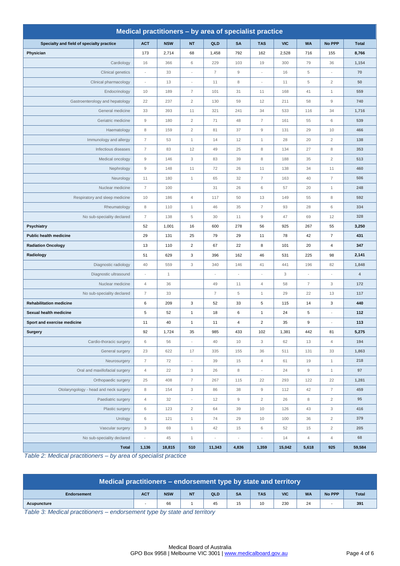| Medical practitioners - by area of specialist practice |                           |              |                           |                          |                          |                          |            |                |                           |              |  |  |  |
|--------------------------------------------------------|---------------------------|--------------|---------------------------|--------------------------|--------------------------|--------------------------|------------|----------------|---------------------------|--------------|--|--|--|
| Specialty and field of specialty practice              | <b>ACT</b>                | <b>NSW</b>   | <b>NT</b>                 | QLD                      | <b>SA</b>                | <b>TAS</b>               | <b>VIC</b> | <b>WA</b>      | No PPP                    | <b>Total</b> |  |  |  |
| Physician                                              | 173                       | 2,714        | 68                        | 1,458                    | 792                      | 162                      | 2,528      | 716            | 155                       | 8,766        |  |  |  |
| Cardiology                                             | 16                        | 366          | 6                         | 229                      | 103                      | 19                       | 300        | 79             | 36                        | 1,154        |  |  |  |
| Clinical genetics                                      |                           | 33           |                           | $\overline{7}$           | $\mathsf g$              |                          | 16         | $\,$ 5 $\,$    |                           | 70           |  |  |  |
| Clinical pharmacology                                  | $\overline{a}$            | 13           | $\overline{\phantom{a}}$  | 11                       | 8                        | $\overline{\phantom{a}}$ | 11         | $\,$ 5 $\,$    | $\overline{c}$            | 50           |  |  |  |
| Endocrinology                                          | 10                        | 189          | $\overline{7}$            | 101                      | 31                       | 11                       | 168        | 41             | $\mathbf{1}$              | 559          |  |  |  |
| Gastroenterology and hepatology                        | 22                        | 237          | $\overline{c}$            | 130                      | 59                       | 12                       | 211        | 58             | 9                         | 740          |  |  |  |
| General medicine                                       | 33                        | 393          | 11                        | 321                      | 241                      | 34                       | 533        | 116            | 34                        | 1,716        |  |  |  |
| Geriatric medicine                                     | $9$                       | 180          | $\overline{c}$            | 71                       | 48                       | $\overline{7}$           | 161        | 55             | 6                         | 539          |  |  |  |
| Haematology                                            | 8                         | 159          | $\overline{c}$            | 81                       | 37                       | $\mathsf g$              | 131        | 29             | 10                        | 466          |  |  |  |
| Immunology and allergy                                 | $\overline{7}$            | 53           | $\mathbf{1}$              | 14                       | 12                       | $\mathbf{1}$             | 28         | 20             | $\overline{2}$            | 138          |  |  |  |
| Infectious diseases                                    | $\overline{7}$            | 83           | 12                        | 49                       | 25                       | 8                        | 134        | 27             | 8                         | 353          |  |  |  |
| Medical oncology                                       | 9                         | 146          | 3                         | 83                       | 39                       | 8                        | 188        | 35             | $\overline{2}$            | 513          |  |  |  |
| Nephrology                                             | $9$                       | 148          | 11                        | 72                       | 26                       | 11                       | 138        | 34             | 11                        | 460          |  |  |  |
| Neurology                                              | 11                        | 180          | $\mathbf{1}$              | 65                       | 32                       | $\overline{7}$           | 163        | 40             | $\overline{7}$            | 506          |  |  |  |
| Nuclear medicine                                       | $\overline{7}$            | 100          |                           | 31                       | 26                       | $\,6$                    | 57         | 20             | $\mathbf{1}$              | 248          |  |  |  |
| Respiratory and sleep medicine                         | 10                        | 186          | $\sqrt{4}$                | 117                      | 50                       | 13                       | 149        | 55             | 8                         | 592          |  |  |  |
| Rheumatology                                           | 8                         | 110          | 1                         | 46                       | 35                       | $\overline{7}$           | 93         | 28             | 6                         | 334          |  |  |  |
| No sub-speciality declared                             | $\overline{7}$            | 138          | 5                         | 30                       | 11                       | $\mathsf g$              | 47         | 69             | 12                        | 328          |  |  |  |
| <b>Psychiatry</b>                                      | 52                        | 1,001        | 16                        | 600                      | 278                      | 56                       | 925        | 267            | 55                        | 3,250        |  |  |  |
| Public health medicine                                 | 29                        | 131          | 25                        | 79                       | 29                       | 11                       | 78         | 42             | $\overline{7}$            | 431          |  |  |  |
| <b>Radiation Oncology</b>                              | 13                        | 110          | $\overline{2}$            | 67                       | 22                       | 8                        | 101        | 20             | 4                         | 347          |  |  |  |
| Radiology                                              | 51                        | 629          | 3                         | 396                      | 162                      | 46                       | 531        | 225            | 98                        | 2,141        |  |  |  |
| Diagnostic radiology                                   | 40                        | 559          | 3                         | 340                      | 146                      | 41                       | 441        | 196            | 82                        | 1,848        |  |  |  |
| Diagnostic ultrasound                                  | L,                        | $\mathbf{1}$ |                           |                          |                          |                          | 3          | i,             |                           | 4            |  |  |  |
| Nuclear medicine                                       | $\overline{4}$            | 36           |                           | 49                       | 11                       | $\overline{4}$           | 58         | $\overline{7}$ | 3                         | 172          |  |  |  |
| No sub-speciality declared                             | $\overline{7}$            | 33           |                           | $\overline{7}$           | 5                        | $\mathbf{1}$             | 29         | 22             | 13                        | 117          |  |  |  |
| <b>Rehabilitation medicine</b>                         | 6                         | 209          | 3                         | 52                       | 33                       | 5                        | 115        | 14             | 3                         | 440          |  |  |  |
| Sexual health medicine                                 | 5                         | 52           | $\mathbf{1}$              | 18                       | $\,6\,$                  | $\mathbf{1}$             | 24         | 5              | ÷                         | 112          |  |  |  |
| Sport and exercise medicine                            | 11                        | 40           | $\mathbf{1}$              | 11                       | $\overline{4}$           | $\overline{2}$           | 35         | 9              |                           | 113          |  |  |  |
| <b>Surgery</b>                                         | 92                        | 1,724        | 35                        | 985                      | 433                      | 102                      | 1,381      | 442            | 81                        | 5,275        |  |  |  |
| Cardio-thoracic surgery                                | 6                         | 56           | $\overline{\phantom{a}}$  | 40                       | 10                       | $_{\rm 3}$               | 62         | 13             | $\overline{4}$            | 194          |  |  |  |
| General surgery                                        | 23                        | 622          | 17                        | 335                      | 155                      | 36                       | 511        | 131            | 33                        | 1,863        |  |  |  |
| Neurosurgery                                           | $\overline{7}$            | 72           | $\overline{\phantom{a}}$  | 39                       | 15                       | $\sqrt{4}$               | 61         | 19             | $\mathbf{1}$              | 218          |  |  |  |
| Oral and maxillofacial surgery                         | $\sqrt{4}$                | 22           | $\ensuremath{\mathsf{3}}$ | 26                       | 8                        | $\overline{\phantom{a}}$ | 24         | $\mathsf 9$    | $\mathbf{1}$              | 97           |  |  |  |
| Orthopaedic surgery                                    | 25                        | 408          | $\overline{7}$            | 267                      | 115                      | 22                       | 293        | 122            | 22                        | 1,281        |  |  |  |
| Otolaryngology - head and neck surgery                 | 8                         | 154          | $_{3}$                    | 86                       | 38                       | $\hbox{g}$               | 112        | 42             | $\overline{7}$            | 459          |  |  |  |
| Paediatric surgery                                     | $\overline{4}$            | 32           | $\overline{\phantom{a}}$  | 12                       | $\mathsf g$              | $\overline{c}$           | 26         | 8              | $\overline{c}$            | 95           |  |  |  |
| Plastic surgery                                        | $\,6\,$                   | 123          | $\sqrt{2}$                | 64                       | 39                       | 10                       | 126        | 43             | $\ensuremath{\mathsf{3}}$ | 416          |  |  |  |
| Urology                                                | $\,6\,$                   | 121          | $\mathbf{1}$              | 74                       | 29                       | 10                       | 100        | 36             | $\overline{2}$            | 379          |  |  |  |
| Vascular surgery                                       | $\ensuremath{\mathsf{3}}$ | 69           | $\mathbf{1}$              | 42                       | 15                       | 6                        | 52         | 15             | $\overline{c}$            | 205          |  |  |  |
| No sub-speciality declared                             | $\overline{\phantom{a}}$  | 45           | $\mathbf{1}$              | $\overline{\phantom{a}}$ | $\overline{\phantom{a}}$ |                          | 14         | $\overline{4}$ | $\overline{4}$            | 68           |  |  |  |
| <b>Total</b>                                           | 1,136                     | 18,815       | 510                       | 11,343                   | 4,836                    | 1,359                    | 15,042     | 5,618          | 925                       | 59,584       |  |  |  |

<span id="page-3-0"></span>*Table 2: Medical practitioners – by area of specialist practice*

|                    | Medical practitioners – endorsement type by state and territory |            |           |     |           |            |            |           |        |              |  |  |
|--------------------|-----------------------------------------------------------------|------------|-----------|-----|-----------|------------|------------|-----------|--------|--------------|--|--|
| <b>Endorsement</b> | <b>ACT</b>                                                      | <b>NSW</b> | <b>NT</b> | QLD | <b>SA</b> | <b>TAS</b> | <b>VIC</b> | <b>WA</b> | No PPP | <b>Total</b> |  |  |
| Acupuncture        |                                                                 | 66         |           | 45  | 15        | 10         | 230        | 24        |        | 391          |  |  |

<span id="page-3-1"></span>*Table 3: Medical practitioners – endorsement type by state and territory*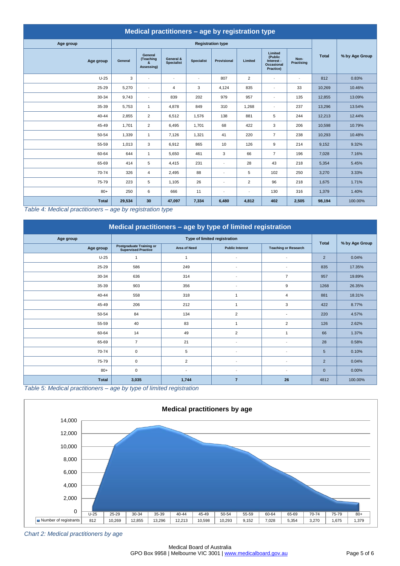| Medical practitioners - age by registration type |         |                                    |                                |                   |                          |                |                                                             |                          |              |                |  |  |
|--------------------------------------------------|---------|------------------------------------|--------------------------------|-------------------|--------------------------|----------------|-------------------------------------------------------------|--------------------------|--------------|----------------|--|--|
| Age group                                        |         |                                    |                                |                   | <b>Registration type</b> |                |                                                             |                          |              |                |  |  |
| Age group                                        | General | General<br>(Teaching<br>Assessing) | General &<br><b>Specialist</b> | <b>Specialist</b> | Provisional              | Limited        | Limited<br>(Public<br>Interest -<br>Occasional<br>Practice) | Non-<br>Practising       | <b>Total</b> | % by Age Group |  |  |
| $U-25$                                           | 3       | $\overline{\phantom{a}}$           | $\sim$                         | $\sim$            | 807                      | $\overline{2}$ | $\overline{\phantom{a}}$                                    | $\overline{\phantom{a}}$ | 812          | 0.83%          |  |  |
| 25-29                                            | 5,270   | $\overline{\phantom{a}}$           | 4                              | 3                 | 4,124                    | 835            | $\overline{\phantom{a}}$                                    | 33                       | 10,269       | 10.46%         |  |  |
| 30-34                                            | 9,743   | $\overline{\phantom{a}}$           | 839                            | 202               | 979                      | 957            | $\overline{\phantom{a}}$                                    | 135                      | 12,855       | 13.09%         |  |  |
| 35-39                                            | 5,753   | $\mathbf{1}$                       | 4,878                          | 849               | 310                      | 1,268          | $\overline{\phantom{a}}$                                    | 237                      | 13,296       | 13.54%         |  |  |
| 40-44                                            | 2,855   | $\overline{2}$                     | 6,512                          | 1,576             | 138                      | 881            | 5                                                           | 244                      | 12,213       | 12.44%         |  |  |
| 45-49                                            | 1,701   | $\overline{2}$                     | 6,495                          | 1,701             | 68                       | 422            | 3                                                           | 206                      | 10,598       | 10.79%         |  |  |
| 50-54                                            | 1,339   | $\mathbf{1}$                       | 7,126                          | 1,321             | 41                       | 220            | $\overline{7}$                                              | 238                      | 10,293       | 10.48%         |  |  |
| 55-59                                            | 1,013   | 3                                  | 6,912                          | 865               | 10                       | 126            | 9                                                           | 214                      | 9,152        | 9.32%          |  |  |
| 60-64                                            | 644     | $\mathbf{1}$                       | 5,650                          | 461               | 3                        | 66             | $\overline{7}$                                              | 196                      | 7,028        | 7.16%          |  |  |
| 65-69                                            | 414     | 5                                  | 4,415                          | 231               | $\sim$                   | 28             | 43                                                          | 218                      | 5,354        | 5.45%          |  |  |
| 70-74                                            | 326     | $\overline{4}$                     | 2,495                          | 88                | $\overline{\phantom{a}}$ | 5              | 102                                                         | 250                      | 3,270        | 3.33%          |  |  |
| 75-79                                            | 223     | 5                                  | 1,105                          | 26                | $\overline{\phantom{a}}$ | $\overline{2}$ | 96                                                          | 218                      | 1,675        | 1.71%          |  |  |
| $80+$                                            | 250     | 6                                  | 666                            | 11                | ٠                        | ÷,             | 130                                                         | 316                      | 1,379        | 1.40%          |  |  |
| <b>Total</b>                                     | 29,534  | 30                                 | 47,097                         | 7,334             | 6,480                    | 4,812          | 402                                                         | 2,505                    | 98,194       | 100.00%        |  |  |

<span id="page-4-0"></span>*Table 4: Medical practitioners – age by registration type*

| Medical practitioners - age by type of limited registration |                                                               |                     |                              |                             |                 |                |  |  |  |  |  |
|-------------------------------------------------------------|---------------------------------------------------------------|---------------------|------------------------------|-----------------------------|-----------------|----------------|--|--|--|--|--|
| Age group                                                   |                                                               |                     | Type of limited registration |                             |                 |                |  |  |  |  |  |
| Age group                                                   | <b>Postgraduate Training or</b><br><b>Supervised Practice</b> | <b>Area of Need</b> | <b>Public Interest</b>       | <b>Teaching or Research</b> | <b>Total</b>    | % by Age Group |  |  |  |  |  |
| $U-25$                                                      |                                                               | -1                  | $\overline{\phantom{a}}$     | ٠                           | 2               | 0.04%          |  |  |  |  |  |
| 25-29                                                       | 586                                                           | 249                 | $\overline{\phantom{a}}$     | ٠                           | 835             | 17.35%         |  |  |  |  |  |
| 30-34                                                       | 636                                                           | 314                 | $\overline{\phantom{a}}$     | $\overline{7}$              | 957             | 19.89%         |  |  |  |  |  |
| 35-39                                                       | 903                                                           | 356                 | $\overline{\phantom{a}}$     | 9                           | 1268            | 26.35%         |  |  |  |  |  |
| $40 - 44$                                                   | 558                                                           | 318                 | $\mathbf{1}$                 | $\overline{4}$              | 881             | 18.31%         |  |  |  |  |  |
| 45-49                                                       | 206                                                           | 212                 | $\mathbf{1}$                 | 3                           | 422             | 8.77%          |  |  |  |  |  |
| 50-54                                                       | 84                                                            | 134                 | $\overline{2}$               | $\overline{\phantom{a}}$    | 220             | 4.57%          |  |  |  |  |  |
| 55-59                                                       | 40                                                            | 83                  | $\mathbf{1}$                 | $\overline{2}$              | 126             | 2.62%          |  |  |  |  |  |
| 60-64                                                       | 14                                                            | 49                  | $\overline{2}$               | $\overline{1}$              | 66              | 1.37%          |  |  |  |  |  |
| 65-69                                                       | $\overline{7}$                                                | 21                  | $\overline{\phantom{a}}$     | ٠                           | 28              | 0.58%          |  |  |  |  |  |
| 70-74                                                       | 0                                                             | 5                   | ٠                            |                             | $5\overline{5}$ | 0.10%          |  |  |  |  |  |
| 75-79                                                       | $\mathbf 0$                                                   | $\overline{2}$      | $\overline{\phantom{a}}$     | $\overline{\phantom{a}}$    | 2               | 0.04%          |  |  |  |  |  |
| $80+$                                                       | $\mathbf 0$                                                   |                     | $\overline{\phantom{a}}$     | ٠                           | $\mathbf{0}$    | 0.00%          |  |  |  |  |  |
| <b>Total</b>                                                | 3,035                                                         | 1,744               | $\overline{7}$               | 26                          | 4812            | 100.00%        |  |  |  |  |  |

<span id="page-4-1"></span>*Table 5: Medical practitioners – age by type of limited registration*



*Chart 2: Medical practitioners by age*